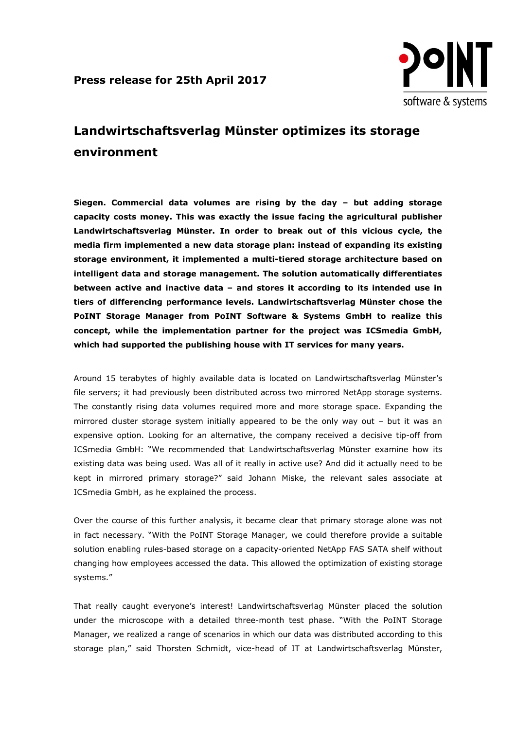

# **Landwirtschaftsverlag Münster optimizes its storage environment**

**Siegen. Commercial data volumes are rising by the day – but adding storage capacity costs money. This was exactly the issue facing the agricultural publisher Landwirtschaftsverlag Münster. In order to break out of this vicious cycle, the media firm implemented a new data storage plan: instead of expanding its existing storage environment, it implemented a multi-tiered storage architecture based on intelligent data and storage management. The solution automatically differentiates between active and inactive data – and stores it according to its intended use in tiers of differencing performance levels. Landwirtschaftsverlag Münster chose the PoINT Storage Manager from PoINT Software & Systems GmbH to realize this concept, while the implementation partner for the project was ICSmedia GmbH, which had supported the publishing house with IT services for many years.**

Around 15 terabytes of highly available data is located on Landwirtschaftsverlag Münster's file servers; it had previously been distributed across two mirrored NetApp storage systems. The constantly rising data volumes required more and more storage space. Expanding the mirrored cluster storage system initially appeared to be the only way out – but it was an expensive option. Looking for an alternative, the company received a decisive tip-off from ICSmedia GmbH: "We recommended that Landwirtschaftsverlag Münster examine how its existing data was being used. Was all of it really in active use? And did it actually need to be kept in mirrored primary storage?" said Johann Miske, the relevant sales associate at ICSmedia GmbH, as he explained the process.

Over the course of this further analysis, it became clear that primary storage alone was not in fact necessary. "With the PoINT Storage Manager, we could therefore provide a suitable solution enabling rules-based storage on a capacity-oriented NetApp FAS SATA shelf without changing how employees accessed the data. This allowed the optimization of existing storage systems."

That really caught everyone's interest! Landwirtschaftsverlag Münster placed the solution under the microscope with a detailed three-month test phase. "With the PoINT Storage Manager, we realized a range of scenarios in which our data was distributed according to this storage plan," said Thorsten Schmidt, vice-head of IT at Landwirtschaftsverlag Münster,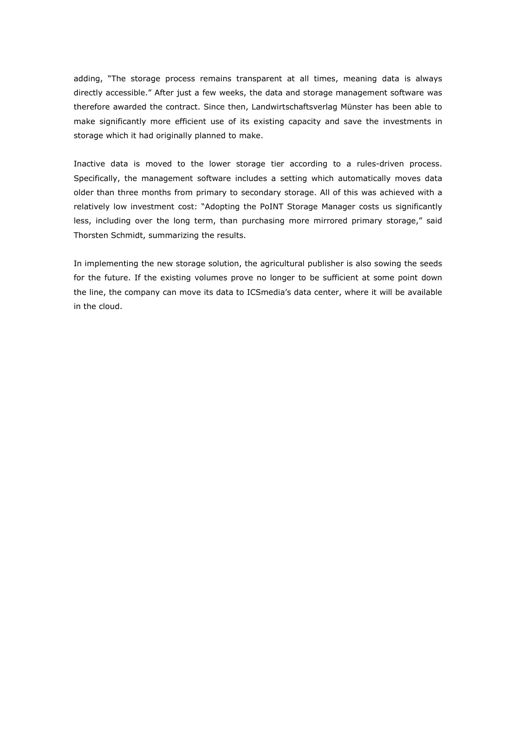adding, "The storage process remains transparent at all times, meaning data is always directly accessible." After just a few weeks, the data and storage management software was therefore awarded the contract. Since then, Landwirtschaftsverlag Münster has been able to make significantly more efficient use of its existing capacity and save the investments in storage which it had originally planned to make.

Inactive data is moved to the lower storage tier according to a rules-driven process. Specifically, the management software includes a setting which automatically moves data older than three months from primary to secondary storage. All of this was achieved with a relatively low investment cost: "Adopting the PoINT Storage Manager costs us significantly less, including over the long term, than purchasing more mirrored primary storage," said Thorsten Schmidt, summarizing the results.

In implementing the new storage solution, the agricultural publisher is also sowing the seeds for the future. If the existing volumes prove no longer to be sufficient at some point down the line, the company can move its data to ICSmedia's data center, where it will be available in the cloud.